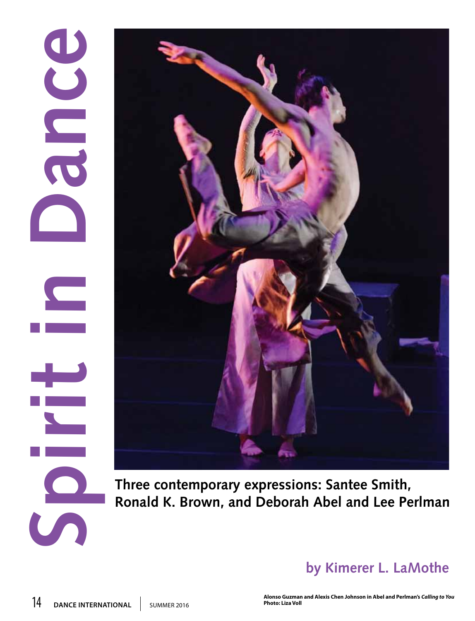## **14 DANCE INTERNATIONAL | SUMMER 2016**



**Three contemporary expressions: Santee Smith, Ronald K. Brown, and Deborah Abel and Lee Perlman**

## **by Kimerer L. LaMothe**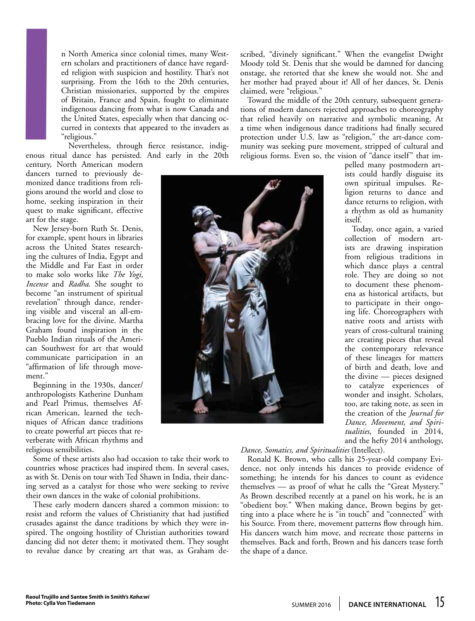n North America since colonial times, many Western scholars and practitioners of dance have regarded religion with suspicion and hostility. That's not surprising. From the 16th to the 20th centuries, Christian missionaries, supported by the empires of Britain, France and Spain, fought to eliminate indigenous dancing from what is now Canada and the United States, especially when that dancing occurred in contexts that appeared to the invaders as "religious."

Nevertheless, through fierce resistance, indigenous ritual dance has persisted. And early in the 20th

century, North American modern dancers turned to previously demonized dance traditions from religions around the world and close to home, seeking inspiration in their quest to make significant, effective art for the stage. **I**

New Jersey-born Ruth St. Denis, for example, spent hours in libraries across the United States researching the cultures of India, Egypt and the Middle and Far East in order to make solo works like *The Yogi, Incense* and *Radha*. She sought to become "an instrument of spiritual revelation" through dance, rendering visible and visceral an all-embracing love for the divine. Martha Graham found inspiration in the Pueblo Indian rituals of the American Southwest for art that would communicate participation in an "affirmation of life through movement."

Beginning in the 1930s, dancer/ anthropologists Katherine Dunham and Pearl Primus, themselves African American, learned the techniques of African dance traditions to create powerful art pieces that reverberate with African rhythms and religious sensibilities.

Some of these artists also had occasion to take their work to countries whose practices had inspired them. In several cases, as with St. Denis on tour with Ted Shawn in India, their dancing served as a catalyst for those who were seeking to revive their own dances in the wake of colonial prohibitions.

These early modern dancers shared a common mission: to resist and reform the values of Christianity that had justified crusades against the dance traditions by which they were inspired. The ongoing hostility of Christian authorities toward dancing did not deter them; it motivated them. They sought to revalue dance by creating art that was, as Graham described, "divinely significant." When the evangelist Dwight Moody told St. Denis that she would be damned for dancing onstage, she retorted that she knew she would not. She and her mother had prayed about it! All of her dances, St. Denis claimed, were "religious."

Toward the middle of the 20th century, subsequent generations of modern dancers rejected approaches to choreography that relied heavily on narrative and symbolic meaning. At a time when indigenous dance traditions had finally secured protection under U.S. law as "religion," the art-dance community was seeking pure movement, stripped of cultural and religious forms. Even so, the vision of "dance itself" that im-

pelled many postmodern artists could hardly disguise its own spiritual impulses. Religion returns to dance and dance returns to religion, with a rhythm as old as humanity itself.

Today, once again, a varied collection of modern artists are drawing inspiration from religious traditions in which dance plays a central role. They are doing so not to document these phenomena as historical artifacts, but to participate in their ongoing life. Choreographers with native roots and artists with years of cross-cultural training are creating pieces that reveal the contemporary relevance of these lineages for matters of birth and death, love and the divine — pieces designed to catalyze experiences of wonder and insight. Scholars, too, are taking note, as seen in the creation of the *Journal for Dance, Movement, and Spiritualities*, founded in 2014, and the hefty 2014 anthology,

*Dance, Somatics, and Spiritualities* (Intellect).

Ronald K. Brown, who calls his 25-year-old company Evidence, not only intends his dances to provide evidence of something; he intends for his dances to count as evidence themselves — as proof of what he calls the "Great Mystery." As Brown described recently at a panel on his work, he is an "obedient boy." When making dance, Brown begins by getting into a place where he is "in touch" and "connected" with his Source. From there, movement patterns flow through him. His dancers watch him move, and recreate those patterns in themselves. Back and forth, Brown and his dancers tease forth the shape of a dance.

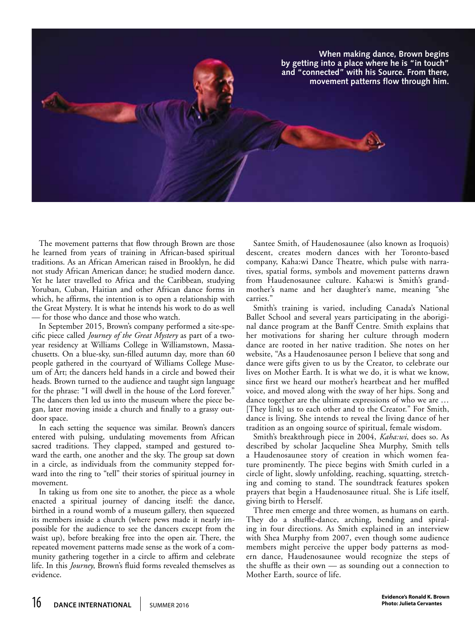

The movement patterns that flow through Brown are those he learned from years of training in African-based spiritual traditions. As an African American raised in Brooklyn, he did not study African American dance; he studied modern dance. Yet he later travelled to Africa and the Caribbean, studying Yoruban, Cuban, Haitian and other African dance forms in which, he affirms, the intention is to open a relationship with the Great Mystery. It is what he intends his work to do as well — for those who dance and those who watch.

In September 2015, Brown's company performed a site-specific piece called *Journey of the Great Mystery* as part of a twoyear residency at Williams College in Williamstown, Massachusetts. On a blue-sky, sun-filled autumn day, more than 60 people gathered in the courtyard of Williams College Museum of Art; the dancers held hands in a circle and bowed their heads. Brown turned to the audience and taught sign language for the phrase: "I will dwell in the house of the Lord forever." The dancers then led us into the museum where the piece began, later moving inside a church and finally to a grassy outdoor space.

In each setting the sequence was similar. Brown's dancers entered with pulsing, undulating movements from African sacred traditions. They clapped, stamped and gestured toward the earth, one another and the sky. The group sat down in a circle, as individuals from the community stepped forward into the ring to "tell" their stories of spiritual journey in movement.

In taking us from one site to another, the piece as a whole enacted a spiritual journey of dancing itself: the dance, birthed in a round womb of a museum gallery, then squeezed its members inside a church (where pews made it nearly impossible for the audience to see the dancers except from the waist up), before breaking free into the open air. There, the repeated movement patterns made sense as the work of a community gathering together in a circle to affirm and celebrate life. In this *Journey*, Brown's fluid forms revealed themselves as evidence.

Santee Smith, of Haudenosaunee (also known as Iroquois) descent, creates modern dances with her Toronto-based company, Kaha:wi Dance Theatre, which pulse with narratives, spatial forms, symbols and movement patterns drawn from Haudenosaunee culture. Kaha:wi is Smith's grandmother's name and her daughter's name, meaning "she carries."

Smith's training is varied, including Canada's National Ballet School and several years participating in the aboriginal dance program at the Banff Centre. Smith explains that her motivations for sharing her culture through modern dance are rooted in her native tradition. She notes on her website, "As a Haudenosaunee person I believe that song and dance were gifts given to us by the Creator, to celebrate our lives on Mother Earth. It is what we do, it is what we know, since first we heard our mother's heartbeat and her muffled voice, and moved along with the sway of her hips. Song and dance together are the ultimate expressions of who we are … [They link] us to each other and to the Creator." For Smith, dance is living. She intends to reveal the living dance of her tradition as an ongoing source of spiritual, female wisdom.

Smith's breakthrough piece in 2004, *Kaha:wi*, does so. As described by scholar Jacqueline Shea Murphy, Smith tells a Haudenosaunee story of creation in which women feature prominently. The piece begins with Smith curled in a circle of light, slowly unfolding, reaching, squatting, stretching and coming to stand. The soundtrack features spoken prayers that begin a Haudenosaunee ritual. She is Life itself, giving birth to Herself.

Three men emerge and three women, as humans on earth. They do a shuffle-dance, arching, bending and spiraling in four directions. As Smith explained in an interview with Shea Murphy from 2007, even though some audience members might perceive the upper body patterns as modern dance, Haudenosaunee would recognize the steps of the shuffle as their own — as sounding out a connection to Mother Earth, source of life.